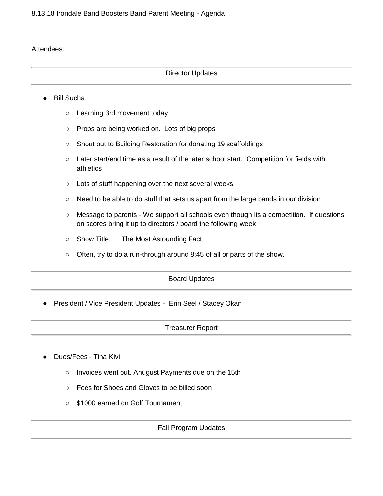# Attendees:

# Director Updates

# ● Bill Sucha

- Learning 3rd movement today
- Props are being worked on. Lots of big props
- Shout out to Building Restoration for donating 19 scaffoldings
- Later start/end time as a result of the later school start. Competition for fields with athletics
- Lots of stuff happening over the next several weeks.
- Need to be able to do stuff that sets us apart from the large bands in our division
- Message to parents We support all schools even though its a competition. If questions on scores bring it up to directors / board the following week
- Show Title: The Most Astounding Fact
- Often, try to do a run-through around 8:45 of all or parts of the show.

#### Board Updates

● President / Vice President Updates - Erin Seel / Stacey Okan

#### Treasurer Report

- Dues/Fees Tina Kivi
	- Invoices went out. Anugust Payments due on the 15th
	- Fees for Shoes and Gloves to be billed soon
	- \$1000 earned on Golf Tournament

#### Fall Program Updates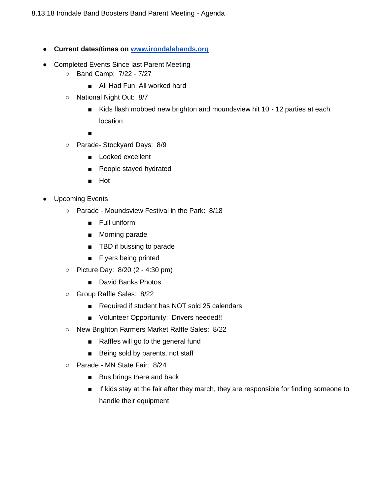- **Current dates/times on [www.irondalebands.org](http://www.irondalebands.org/)**
- Completed Events Since last Parent Meeting
	- Band Camp; 7/22 7/27
		- All Had Fun. All worked hard
	- National Night Out: 8/7
		- Kids flash mobbed new brighton and moundsview hit 10 12 parties at each location

■

- Parade- Stockyard Days: 8/9
	- Looked excellent
	- People stayed hydrated
	- Hot
- Upcoming Events
	- Parade Moundsview Festival in the Park: 8/18
		- Full uniform
		- Morning parade
		- TBD if bussing to parade
		- Flyers being printed
	- Picture Day: 8/20 (2 4:30 pm)
		- David Banks Photos
	- Group Raffle Sales: 8/22
		- Required if student has NOT sold 25 calendars
		- Volunteer Opportunity: Drivers needed!!
	- New Brighton Farmers Market Raffle Sales: 8/22
		- Raffles will go to the general fund
		- Being sold by parents, not staff
	- Parade MN State Fair: 8/24
		- Bus brings there and back
		- If kids stay at the fair after they march, they are responsible for finding someone to handle their equipment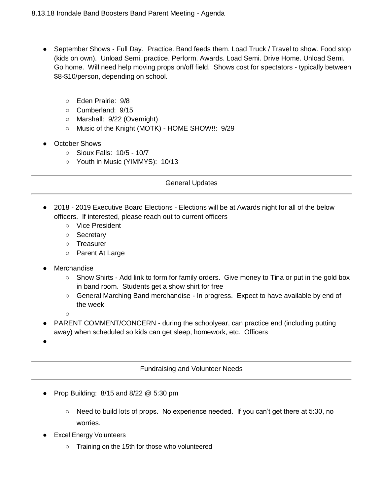- September Shows Full Day. Practice. Band feeds them. Load Truck / Travel to show. Food stop (kids on own). Unload Semi. practice. Perform. Awards. Load Semi. Drive Home. Unload Semi. Go home. Will need help moving props on/off field. Shows cost for spectators - typically between \$8-\$10/person, depending on school.
	- Eden Prairie: 9/8
	- Cumberland: 9/15
	- Marshall: 9/22 (Overnight)
	- Music of the Knight (MOTK) HOME SHOW!!: 9/29
- October Shows
	- Sioux Falls: 10/5 10/7
	- Youth in Music (YIMMYS): 10/13

#### General Updates

- 2018 2019 Executive Board Elections Elections will be at Awards night for all of the below officers. If interested, please reach out to current officers
	- Vice President
	- Secretary
	- Treasurer
	- Parent At Large
- Merchandise
	- Show Shirts Add link to form for family orders. Give money to Tina or put in the gold box in band room. Students get a show shirt for free
	- General Marching Band merchandise In progress. Expect to have available by end of the week
	- $\circ$
- PARENT COMMENT/CONCERN during the schoolyear, can practice end (including putting away) when scheduled so kids can get sleep, homework, etc. Officers
- ●

# Fundraising and Volunteer Needs

- Prop Building:  $8/15$  and  $8/22 \& 5:30$  pm
	- $\circ$  Need to build lots of props. No experience needed. If you can't get there at 5:30, no worries.
- **Excel Energy Volunteers** 
	- Training on the 15th for those who volunteered